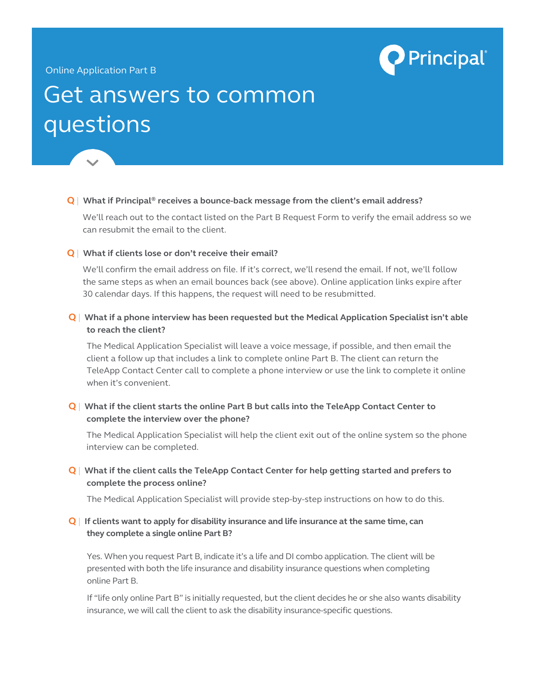

## Online Application Part B

# Get answers to common questions

## **Q** | **What if Principal® receives a bounce-back message from the client's email address?**

We'll reach out to the contact listed on the Part B Request Form to verify the email address so we can resubmit the email to the client.

#### **Q** | **What if clients lose or don't receive their email?**

We'll confirm the email address on file. If it's correct, we'll resend the email. If not, we'll follow the same steps as when an email bounces back (see above). Online application links expire after 30 calendar days. If this happens, the request will need to be resubmitted.

# **Q** | **What if a phone interview has been requested but the Medical Application Specialist isn't able to reach the client?**

The Medical Application Specialist will leave a voice message, if possible, and then email the client a follow up that includes a link to complete online Part B. The client can return the TeleApp Contact Center call to complete a phone interview or use the link to complete it online when it's convenient.

# **Q** | **What if the client starts the online Part B but calls into the TeleApp Contact Center to complete the interview over the phone?**

The Medical Application Specialist will help the client exit out of the online system so the phone interview can be completed.

# **Q** | **What if the client calls the TeleApp Contact Center for help getting started and prefers to complete the process online?**

The Medical Application Specialist will provide step-by-step instructions on how to do this.

## **Q** | **If clients want to apply for disability insurance and life insurance at the same time, can they complete a single online Part B?**

Yes. When you request Part B, indicate it's a life and DI combo application. The client will be presented with both the life insurance and disability insurance questions when completing online Part B.

If "life only online Part B" is initially requested, but the client decides he or she also wants disability insurance, we will call the client to ask the disability insurance-specific questions.